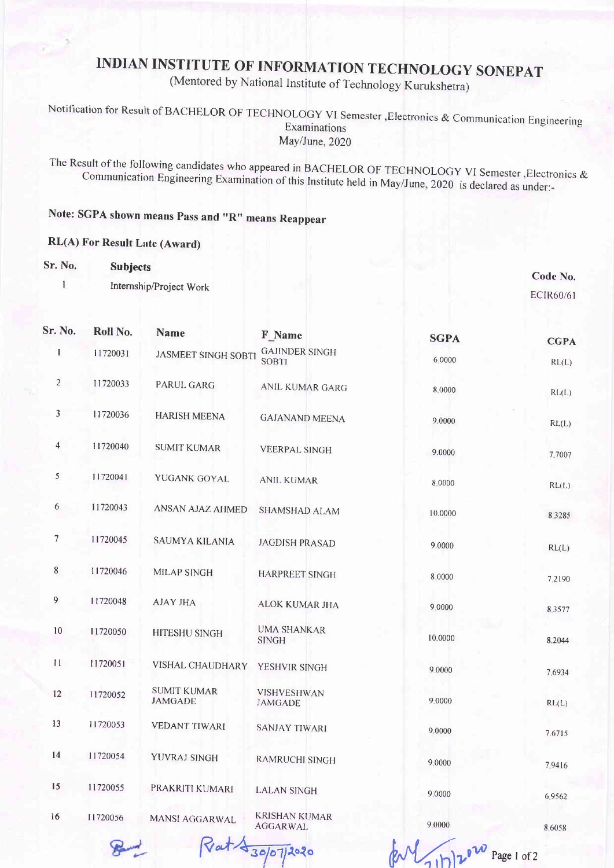## INDIAN INSTITUTE OF INFORMATION TECHNOLOGY SONEPAT

(Mentored by National Institute of Technology Kurukshetra)

Notification for Result of BACHELOR OF TECHNOLOGY VI Semester, Electronics & Communication Engineering<br>Examinations May/June, 2020

The Result communication of the following Engineering candidates who appeared in BACHELOR OF TECHNOLOGY VI Semester ,Electronics &<br>ineering Examination of this Institute held in May/June, 2020 is declared as under:-

Note: SGPA shown means pass and "R" means Reappear

## RL(A) For Result Late (Award)

## Sr. No. Subjects

I

Internship/Project Work

Code No. ECIR6O/6I

| Sr. No.        | Roll No.                 | <b>Name</b>                          | F Name                                  | <b>SGPA</b> | <b>CGPA</b> |
|----------------|--------------------------|--------------------------------------|-----------------------------------------|-------------|-------------|
| 1              | 11720031                 | <b>JASMEET SINGH SOBTI</b>           | <b>GAJINDER SINGH</b><br><b>SOBTI</b>   | 6.0000      | RL(L)       |
| $\overline{2}$ | 11720033                 | <b>PARUL GARG</b>                    | ANIL KUMAR GARG                         | 8.0000      | RL(L)       |
| $\mathfrak{Z}$ | 11720036                 | <b>HARISH MEENA</b>                  | <b>GAJANAND MEENA</b>                   | 9.0000      | RL(L)       |
| $\overline{4}$ | 11720040                 | <b>SUMIT KUMAR</b>                   | <b>VEERPAL SINGH</b>                    | 9.0000      | 7.7007      |
| 5              | 11720041                 | YUGANK GOYAL                         | ANIL KUMAR                              | 8.0000      | RL(L)       |
| 6              | 11720043                 | ANSAN AJAZ AHMED                     | SHAMSHAD ALAM                           | 10.0000     | 8.3285      |
| 7              | 11720045                 | <b>SAUMYA KILANIA</b>                | <b>JAGDISH PRASAD</b>                   | 9.0000      | RL(L)       |
| $\bf{8}$       | 11720046                 | <b>MILAP SINGH</b>                   | <b>HARPREET SINGH</b>                   | 8 0000      | 7.2190      |
| $\overline{9}$ | 11720048                 | <b>AJAY JHA</b>                      | ALOK KUMAR JHA                          | 9.0000      | 8.3577      |
| 10             | 11720050                 | HITESHU SINGH                        | <b>UMA SHANKAR</b><br><b>SINGH</b>      | 10.0000     | 8.2044      |
| 11             | 11720051                 | VISHAL CHAUDHARY                     | YESHVIR SINGH                           | 9.0000      | 7.6934      |
| 12             | 11720052                 | <b>SUMIT KUMAR</b><br><b>JAMGADE</b> | <b>VISHVESHWAN</b><br><b>JAMGADE</b>    | 9.0000      | RL(L)       |
| 13             | 11720053                 | <b>VEDANT TIWARI</b>                 | <b>SANJAY TIWARI</b>                    | 9.0000      | 7.6715      |
| 14             | 11720054                 | YUVRAJ SINGH                         | RAMRUCHI SINGH                          | 9.0000      | 7.9416      |
| 15             | 11720055                 | PRAKRITI KUMARI                      | <b>LALAN SINGH</b>                      | 9.0000      | 6.9562      |
| 16             | 11720056                 | MANSI AGGARWAL                       | <b>KRISHAN KUMAR</b><br><b>AGGARWAL</b> | 9.0000      | 8.6058      |
|                | $\overline{\phantom{a}}$ | $\Box$                               |                                         |             |             |

 $\mathbb{R}^N$  and  $\mathbb{R}^N$  by  $\mathbb{R}^n$  bagger of 2